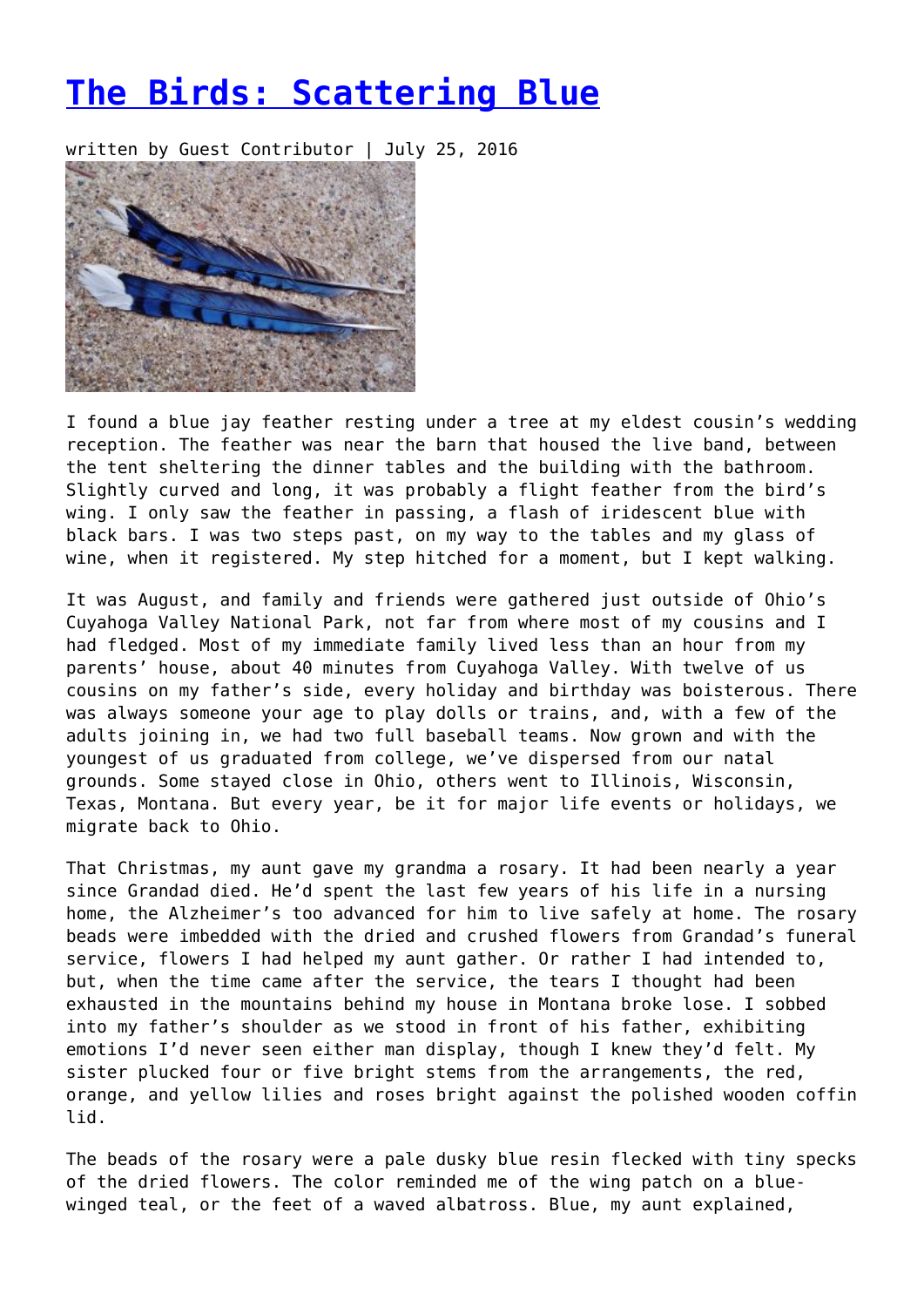## **[The Birds: Scattering Blue](https://entropymag.org/the-birds-scattering-blue/)**

written by Guest Contributor | July 25, 2016



I found a blue jay feather resting under a tree at my eldest cousin's wedding reception. The feather was near the barn that housed the live band, between the tent sheltering the dinner tables and the building with the bathroom. Slightly curved and long, it was probably a flight feather from the bird's wing. I only saw the feather in passing, a flash of iridescent blue with black bars. I was two steps past, on my way to the tables and my glass of wine, when it registered. My step hitched for a moment, but I kept walking.

It was August, and family and friends were gathered just outside of Ohio's Cuyahoga Valley National Park, not far from where most of my cousins and I had fledged. Most of my immediate family lived less than an hour from my parents' house, about 40 minutes from Cuyahoga Valley. With twelve of us cousins on my father's side, every holiday and birthday was boisterous. There was always someone your age to play dolls or trains, and, with a few of the adults joining in, we had two full baseball teams. Now grown and with the youngest of us graduated from college, we've dispersed from our natal grounds. Some stayed close in Ohio, others went to Illinois, Wisconsin, Texas, Montana. But every year, be it for major life events or holidays, we migrate back to Ohio.

That Christmas, my aunt gave my grandma a rosary. It had been nearly a year since Grandad died. He'd spent the last few years of his life in a nursing home, the Alzheimer's too advanced for him to live safely at home. The rosary beads were imbedded with the dried and crushed flowers from Grandad's funeral service, flowers I had helped my aunt gather. Or rather I had intended to, but, when the time came after the service, the tears I thought had been exhausted in the mountains behind my house in Montana broke lose. I sobbed into my father's shoulder as we stood in front of his father, exhibiting emotions I'd never seen either man display, though I knew they'd felt. My sister plucked four or five bright stems from the arrangements, the red, orange, and yellow lilies and roses bright against the polished wooden coffin lid.

The beads of the rosary were a pale dusky blue resin flecked with tiny specks of the dried flowers. The color reminded me of the wing patch on a bluewinged teal, or the feet of a waved albatross. Blue, my aunt explained,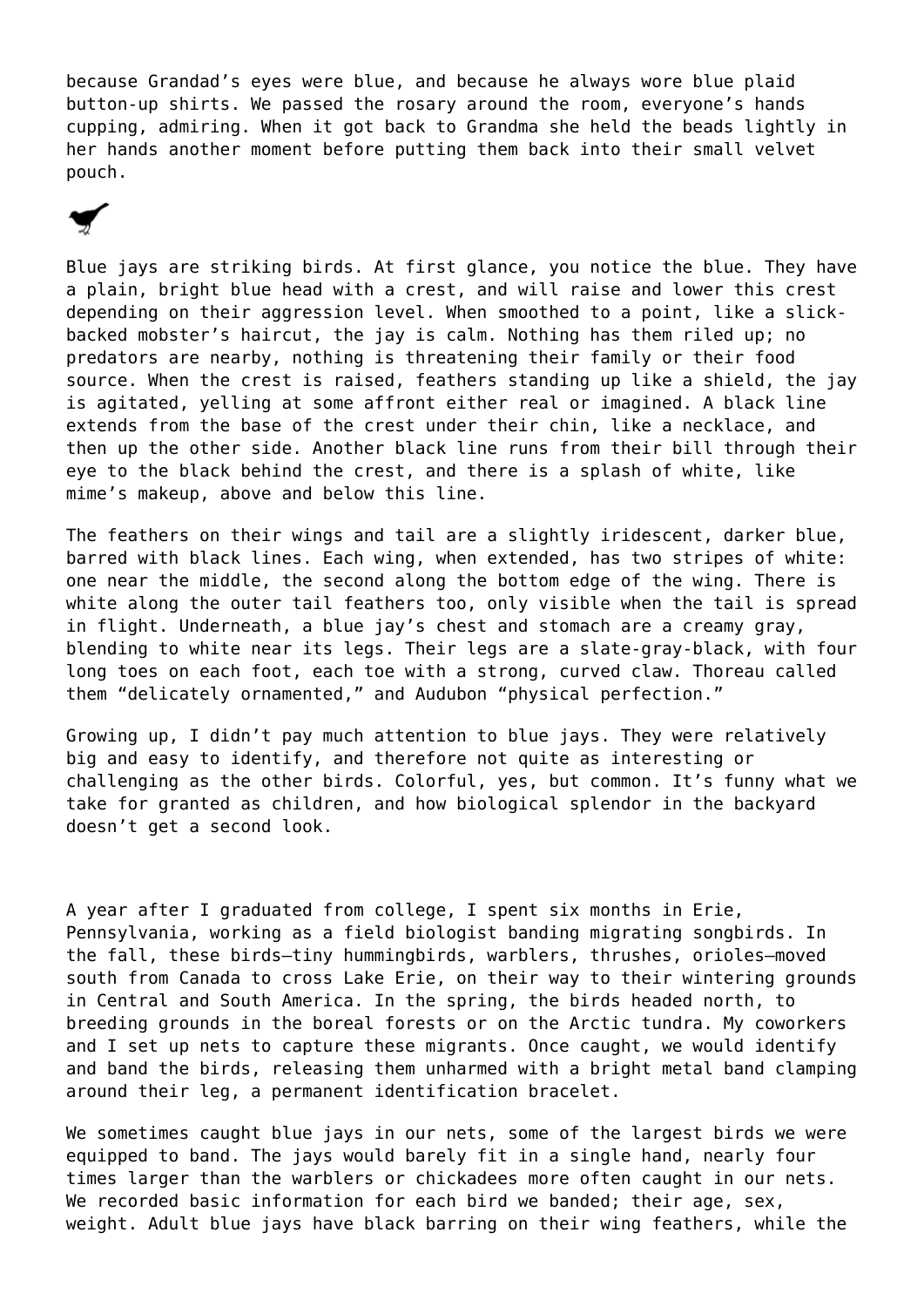because Grandad's eyes were blue, and because he always wore blue plaid button-up shirts. We passed the rosary around the room, everyone's hands cupping, admiring. When it got back to Grandma she held the beads lightly in her hands another moment before putting them back into their small velvet pouch.

Blue jays are striking birds. At first glance, you notice the blue. They have a plain, bright blue head with a crest, and will raise and lower this crest depending on their aggression level. When smoothed to a point, like a slickbacked mobster's haircut, the jay is calm. Nothing has them riled up; no predators are nearby, nothing is threatening their family or their food source. When the crest is raised, feathers standing up like a shield, the jay is agitated, yelling at some affront either real or imagined. A black line extends from the base of the crest under their chin, like a necklace, and then up the other side. Another black line runs from their bill through their eye to the black behind the crest, and there is a splash of white, like mime's makeup, above and below this line.

The feathers on their wings and tail are a slightly iridescent, darker blue, barred with black lines. Each wing, when extended, has two stripes of white: one near the middle, the second along the bottom edge of the wing. There is white along the outer tail feathers too, only visible when the tail is spread in flight. Underneath, a blue jay's chest and stomach are a creamy gray, blending to white near its legs. Their legs are a slate-gray-black, with four long toes on each foot, each toe with a strong, curved claw. Thoreau called them "delicately ornamented," and Audubon "physical perfection."

Growing up, I didn't pay much attention to blue jays. They were relatively big and easy to identify, and therefore not quite as interesting or challenging as the other birds. Colorful, yes, but common. It's funny what we take for granted as children, and how biological splendor in the backyard doesn't get a second look.

A year after I graduated from college, I spent six months in Erie, Pennsylvania, working as a field biologist banding migrating songbirds. In the fall, these birds—tiny hummingbirds, warblers, thrushes, orioles—moved south from Canada to cross Lake Erie, on their way to their wintering grounds in Central and South America. In the spring, the birds headed north, to breeding grounds in the boreal forests or on the Arctic tundra. My coworkers and I set up nets to capture these migrants. Once caught, we would identify and band the birds, releasing them unharmed with a bright metal band clamping around their leg, a permanent identification bracelet.

We sometimes caught blue jays in our nets, some of the largest birds we were equipped to band. The jays would barely fit in a single hand, nearly four times larger than the warblers or chickadees more often caught in our nets. We recorded basic information for each bird we banded; their age, sex, weight. Adult blue jays have black barring on their wing feathers, while the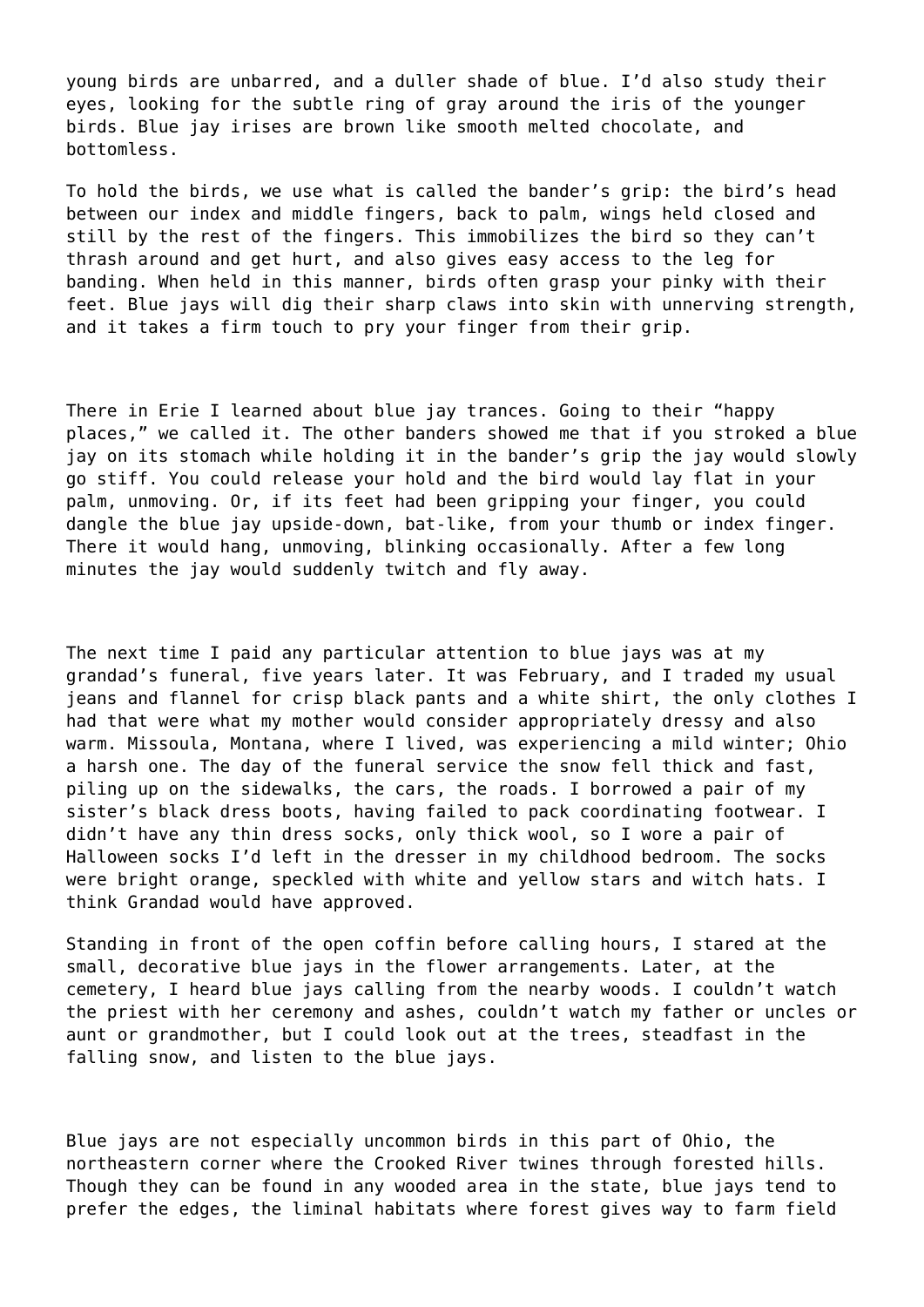young birds are unbarred, and a duller shade of blue. I'd also study their eyes, looking for the subtle ring of gray around the iris of the younger birds. Blue jay irises are brown like smooth melted chocolate, and bottomless.

To hold the birds, we use what is called the bander's grip: the bird's head between our index and middle fingers, back to palm, wings held closed and still by the rest of the fingers. This immobilizes the bird so they can't thrash around and get hurt, and also gives easy access to the leg for banding. When held in this manner, birds often grasp your pinky with their feet. Blue jays will dig their sharp claws into skin with unnerving strength, and it takes a firm touch to pry your finger from their grip.

There in Erie I learned about blue jay trances. Going to their "happy places," we called it. The other banders showed me that if you stroked a blue jay on its stomach while holding it in the bander's grip the jay would slowly go stiff. You could release your hold and the bird would lay flat in your palm, unmoving. Or, if its feet had been gripping your finger, you could dangle the blue jay upside-down, bat-like, from your thumb or index finger. There it would hang, unmoving, blinking occasionally. After a few long minutes the jay would suddenly twitch and fly away.

The next time I paid any particular attention to blue jays was at my grandad's funeral, five years later. It was February, and I traded my usual jeans and flannel for crisp black pants and a white shirt, the only clothes I had that were what my mother would consider appropriately dressy and also warm. Missoula, Montana, where I lived, was experiencing a mild winter; Ohio a harsh one. The day of the funeral service the snow fell thick and fast, piling up on the sidewalks, the cars, the roads. I borrowed a pair of my sister's black dress boots, having failed to pack coordinating footwear. I didn't have any thin dress socks, only thick wool, so I wore a pair of Halloween socks I'd left in the dresser in my childhood bedroom. The socks were bright orange, speckled with white and yellow stars and witch hats. I think Grandad would have approved.

Standing in front of the open coffin before calling hours, I stared at the small, decorative blue jays in the flower arrangements. Later, at the cemetery, I heard blue jays calling from the nearby woods. I couldn't watch the priest with her ceremony and ashes, couldn't watch my father or uncles or aunt or grandmother, but I could look out at the trees, steadfast in the falling snow, and listen to the blue jays.

Blue jays are not especially uncommon birds in this part of Ohio, the northeastern corner where the Crooked River twines through forested hills. Though they can be found in any wooded area in the state, blue jays tend to prefer the edges, the liminal habitats where forest gives way to farm field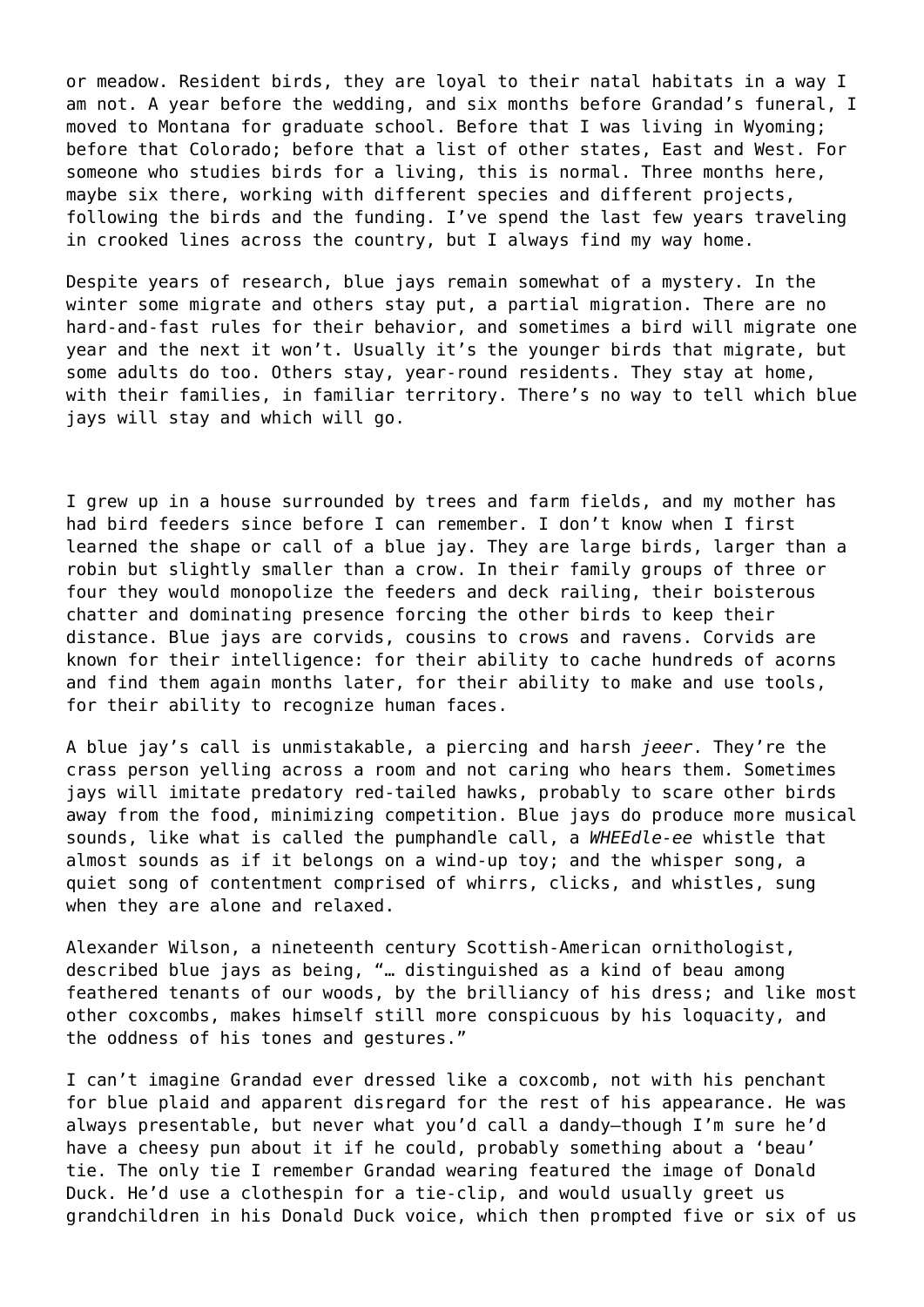or meadow. Resident birds, they are loyal to their natal habitats in a way I am not. A year before the wedding, and six months before Grandad's funeral, I moved to Montana for graduate school. Before that I was living in Wyoming; before that Colorado; before that a list of other states, East and West. For someone who studies birds for a living, this is normal. Three months here, maybe six there, working with different species and different projects, following the birds and the funding. I've spend the last few years traveling in crooked lines across the country, but I always find my way home.

Despite years of research, blue jays remain somewhat of a mystery. In the winter some migrate and others stay put, a partial migration. There are no hard-and-fast rules for their behavior, and sometimes a bird will migrate one year and the next it won't. Usually it's the younger birds that migrate, but some adults do too. Others stay, year-round residents. They stay at home, with their families, in familiar territory. There's no way to tell which blue jays will stay and which will go.

I grew up in a house surrounded by trees and farm fields, and my mother has had bird feeders since before I can remember. I don't know when I first learned the shape or call of a blue jay. They are large birds, larger than a robin but slightly smaller than a crow. In their family groups of three or four they would monopolize the feeders and deck railing, their boisterous chatter and dominating presence forcing the other birds to keep their distance. Blue jays are corvids, cousins to crows and ravens. Corvids are known for their intelligence: for their ability to cache hundreds of acorns and find them again months later, for their ability to make and use tools, for their ability to recognize human faces.

A blue jay's call is unmistakable, a piercing and harsh *jeeer*. They're the crass person yelling across a room and not caring who hears them. Sometimes jays will imitate predatory red-tailed hawks, probably to scare other birds away from the food, minimizing competition. Blue jays do produce more musical sounds, like what is called the pumphandle call, a *WHEEdle-ee* whistle that almost sounds as if it belongs on a wind-up toy; and the whisper song, a quiet song of contentment comprised of whirrs, clicks, and whistles, sung when they are alone and relaxed.

Alexander Wilson, a nineteenth century Scottish-American ornithologist, described blue jays as being, "… distinguished as a kind of beau among feathered tenants of our woods, by the brilliancy of his dress; and like most other coxcombs, makes himself still more conspicuous by his loquacity, and the oddness of his tones and gestures."

I can't imagine Grandad ever dressed like a coxcomb, not with his penchant for blue plaid and apparent disregard for the rest of his appearance. He was always presentable, but never what you'd call a dandy—though I'm sure he'd have a cheesy pun about it if he could, probably something about a 'beau' tie. The only tie I remember Grandad wearing featured the image of Donald Duck. He'd use a clothespin for a tie-clip, and would usually greet us grandchildren in his Donald Duck voice, which then prompted five or six of us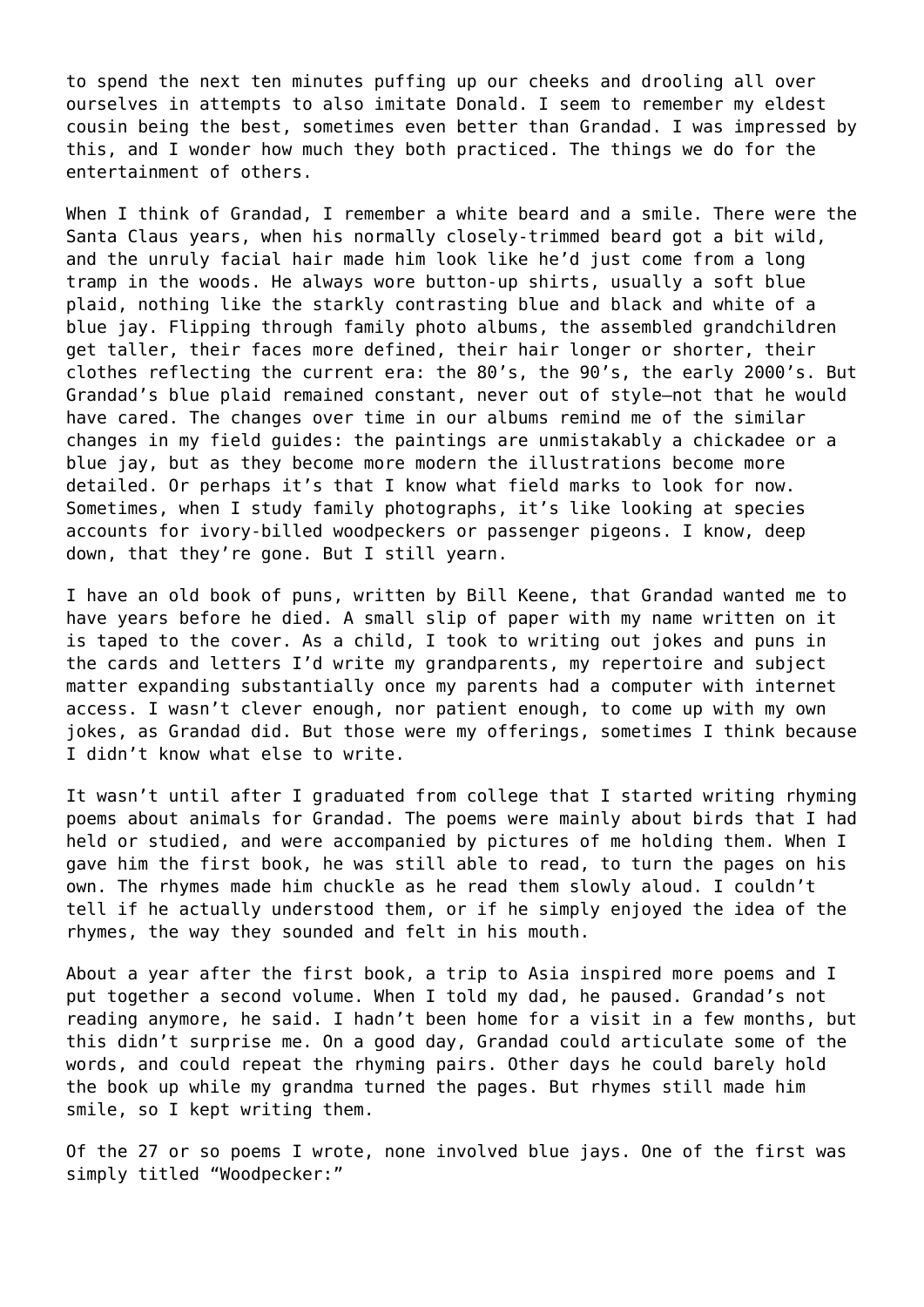to spend the next ten minutes puffing up our cheeks and drooling all over ourselves in attempts to also imitate Donald. I seem to remember my eldest cousin being the best, sometimes even better than Grandad. I was impressed by this, and I wonder how much they both practiced. The things we do for the entertainment of others.

When I think of Grandad, I remember a white beard and a smile. There were the Santa Claus years, when his normally closely-trimmed beard got a bit wild, and the unruly facial hair made him look like he'd just come from a long tramp in the woods. He always wore button-up shirts, usually a soft blue plaid, nothing like the starkly contrasting blue and black and white of a blue jay. Flipping through family photo albums, the assembled grandchildren get taller, their faces more defined, their hair longer or shorter, their clothes reflecting the current era: the 80's, the 90's, the early 2000's. But Grandad's blue plaid remained constant, never out of style—not that he would have cared. The changes over time in our albums remind me of the similar changes in my field guides: the paintings are unmistakably a chickadee or a blue jay, but as they become more modern the illustrations become more detailed. Or perhaps it's that I know what field marks to look for now. Sometimes, when I study family photographs, it's like looking at species accounts for ivory-billed woodpeckers or passenger pigeons. I know, deep down, that they're gone. But I still yearn.

I have an old book of puns, written by Bill Keene, that Grandad wanted me to have years before he died. A small slip of paper with my name written on it is taped to the cover. As a child, I took to writing out jokes and puns in the cards and letters I'd write my grandparents, my repertoire and subject matter expanding substantially once my parents had a computer with internet access. I wasn't clever enough, nor patient enough, to come up with my own jokes, as Grandad did. But those were my offerings, sometimes I think because I didn't know what else to write.

It wasn't until after I graduated from college that I started writing rhyming poems about animals for Grandad. The poems were mainly about birds that I had held or studied, and were accompanied by pictures of me holding them. When I gave him the first book, he was still able to read, to turn the pages on his own. The rhymes made him chuckle as he read them slowly aloud. I couldn't tell if he actually understood them, or if he simply enjoyed the idea of the rhymes, the way they sounded and felt in his mouth.

About a year after the first book, a trip to Asia inspired more poems and I put together a second volume. When I told my dad, he paused. Grandad's not reading anymore, he said. I hadn't been home for a visit in a few months, but this didn't surprise me. On a good day, Grandad could articulate some of the words, and could repeat the rhyming pairs. Other days he could barely hold the book up while my grandma turned the pages. But rhymes still made him smile, so I kept writing them.

Of the 27 or so poems I wrote, none involved blue jays. One of the first was simply titled "Woodpecker:"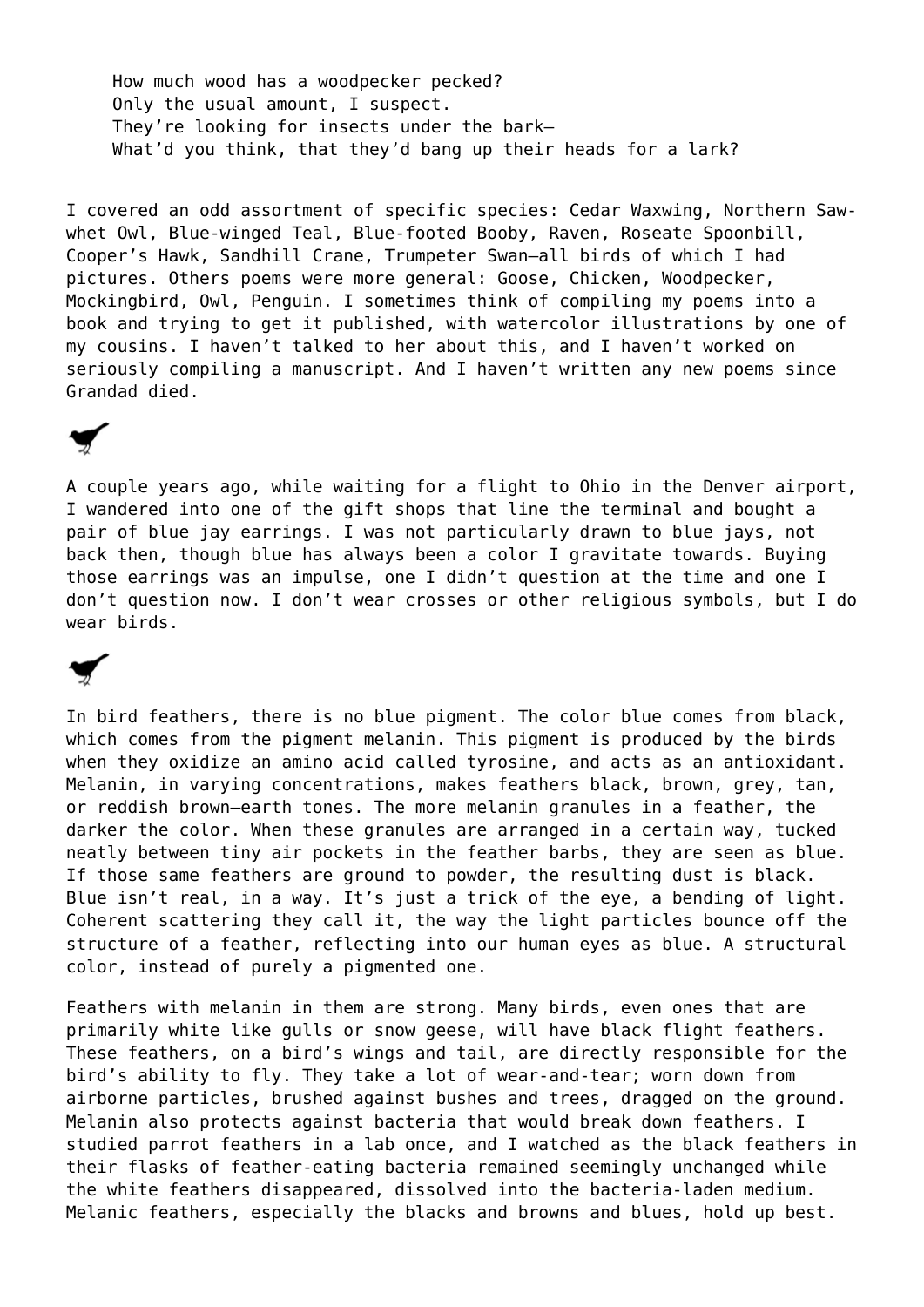How much wood has a woodpecker pecked? Only the usual amount, I suspect. They're looking for insects under the bark— What'd you think, that they'd bang up their heads for a lark?

I covered an odd assortment of specific species: Cedar Waxwing, Northern Sawwhet Owl, Blue-winged Teal, Blue-footed Booby, Raven, Roseate Spoonbill, Cooper's Hawk, Sandhill Crane, Trumpeter Swan—all birds of which I had pictures. Others poems were more general: Goose, Chicken, Woodpecker, Mockingbird, Owl, Penguin. I sometimes think of compiling my poems into a book and trying to get it published, with watercolor illustrations by one of my cousins. I haven't talked to her about this, and I haven't worked on seriously compiling a manuscript. And I haven't written any new poems since Grandad died.

A couple years ago, while waiting for a flight to Ohio in the Denver airport, I wandered into one of the gift shops that line the terminal and bought a pair of blue jay earrings. I was not particularly drawn to blue jays, not back then, though blue has always been a color I gravitate towards. Buying those earrings was an impulse, one I didn't question at the time and one I don't question now. I don't wear crosses or other religious symbols, but I do wear birds.

In bird feathers, there is no blue pigment. The color blue comes from black, which comes from the pigment melanin. This pigment is produced by the birds when they oxidize an amino acid called tyrosine, and acts as an antioxidant. Melanin, in varying concentrations, makes feathers black, brown, grey, tan, or reddish brown—earth tones. The more melanin granules in a feather, the darker the color. When these granules are arranged in a certain way, tucked neatly between tiny air pockets in the feather barbs, they are seen as blue. If those same feathers are ground to powder, the resulting dust is black. Blue isn't real, in a way. It's just a trick of the eye, a bending of light. Coherent scattering they call it, the way the light particles bounce off the structure of a feather, reflecting into our human eyes as blue. A structural color, instead of purely a pigmented one.

Feathers with melanin in them are strong. Many birds, even ones that are primarily white like gulls or snow geese, will have black flight feathers. These feathers, on a bird's wings and tail, are directly responsible for the bird's ability to fly. They take a lot of wear-and-tear; worn down from airborne particles, brushed against bushes and trees, dragged on the ground. Melanin also protects against bacteria that would break down feathers. I studied parrot feathers in a lab once, and I watched as the black feathers in their flasks of feather-eating bacteria remained seemingly unchanged while the white feathers disappeared, dissolved into the bacteria-laden medium. Melanic feathers, especially the blacks and browns and blues, hold up best.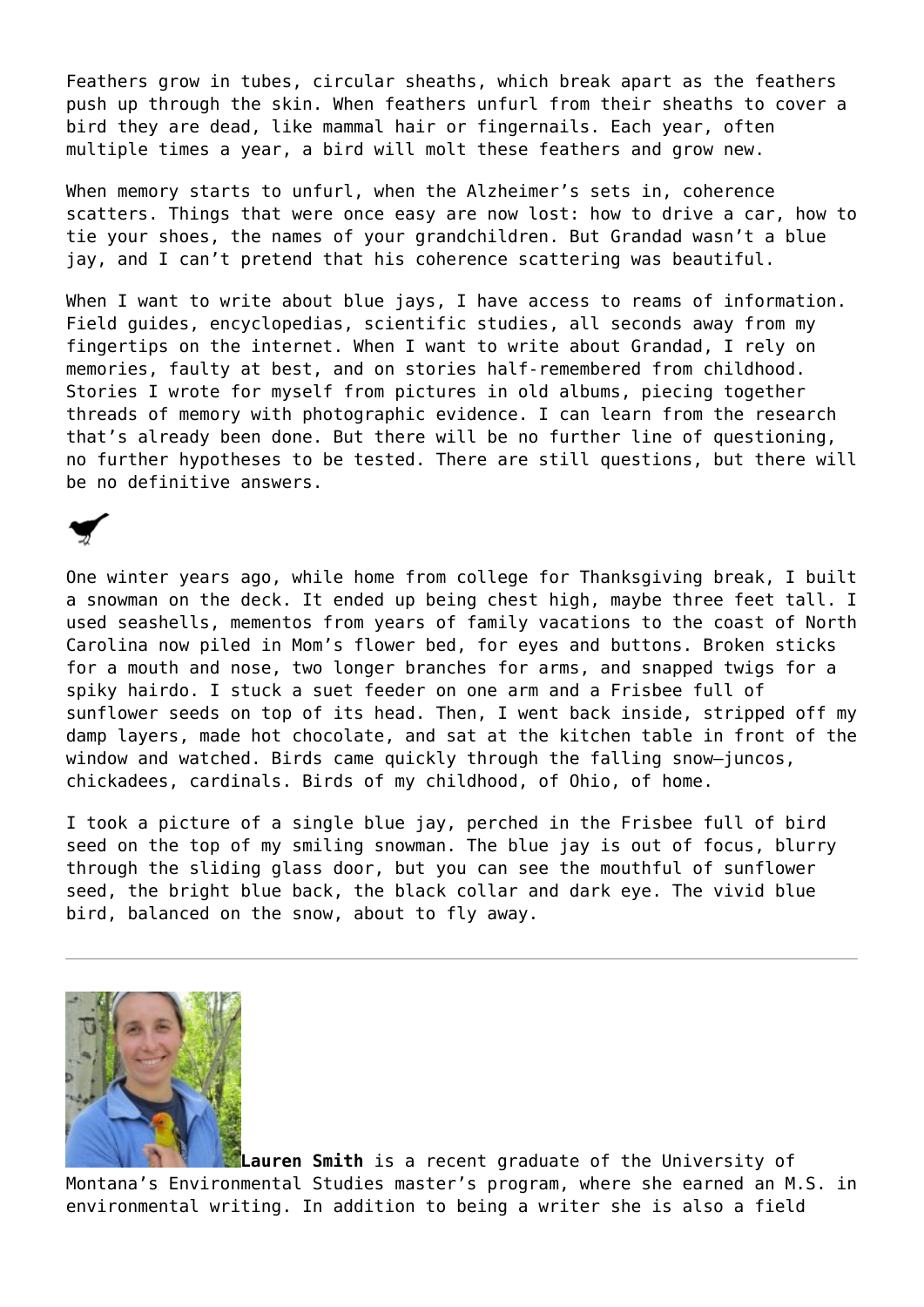Feathers grow in tubes, circular sheaths, which break apart as the feathers push up through the skin. When feathers unfurl from their sheaths to cover a bird they are dead, like mammal hair or fingernails. Each year, often multiple times a year, a bird will molt these feathers and grow new.

When memory starts to unfurl, when the Alzheimer's sets in, coherence scatters. Things that were once easy are now lost: how to drive a car, how to tie your shoes, the names of your grandchildren. But Grandad wasn't a blue jay, and I can't pretend that his coherence scattering was beautiful.

When I want to write about blue jays, I have access to reams of information. Field guides, encyclopedias, scientific studies, all seconds away from my fingertips on the internet. When I want to write about Grandad, I rely on memories, faulty at best, and on stories half-remembered from childhood. Stories I wrote for myself from pictures in old albums, piecing together threads of memory with photographic evidence. I can learn from the research that's already been done. But there will be no further line of questioning, no further hypotheses to be tested. There are still questions, but there will be no definitive answers.

One winter years ago, while home from college for Thanksgiving break, I built a snowman on the deck. It ended up being chest high, maybe three feet tall. I used seashells, mementos from years of family vacations to the coast of North Carolina now piled in Mom's flower bed, for eyes and buttons. Broken sticks for a mouth and nose, two longer branches for arms, and snapped twigs for a spiky hairdo. I stuck a suet feeder on one arm and a Frisbee full of sunflower seeds on top of its head. Then, I went back inside, stripped off my damp layers, made hot chocolate, and sat at the kitchen table in front of the window and watched. Birds came quickly through the falling snow-juncos, chickadees, cardinals. Birds of my childhood, of Ohio, of home.

I took a picture of a single blue jay, perched in the Frisbee full of bird seed on the top of my smiling snowman. The blue jay is out of focus, blurry through the sliding glass door, but you can see the mouthful of sunflower seed, the bright blue back, the black collar and dark eye. The vivid blue bird, balanced on the snow, about to fly away.



**Lauren Smith** is a recent graduate of the University of Montana's Environmental Studies master's program, where she earned an M.S. in environmental writing. In addition to being a writer she is also a field